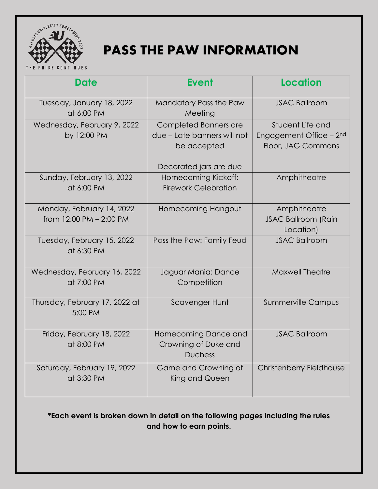

# **PASS THE PAW INFORMATION**

THE PRIDE CONTINUES

| <b>Date</b>                                          | <b>Event</b>                                                                 | <b>Location</b>                                                               |
|------------------------------------------------------|------------------------------------------------------------------------------|-------------------------------------------------------------------------------|
| Tuesday, January 18, 2022<br>at 6:00 PM              | Mandatory Pass the Paw<br>Meeting                                            | <b>JSAC Ballroom</b>                                                          |
| Wednesday, February 9, 2022<br>by 12:00 PM           | Completed Banners are<br>due – Late banners will not<br>be accepted          | Student Life and<br>Engagement Office - 2 <sup>nd</sup><br>Floor, JAG Commons |
| Sunday, February 13, 2022<br>at 6:00 PM              | Decorated jars are due<br>Homecoming Kickoff:<br><b>Firework Celebration</b> | Amphitheatre                                                                  |
| Monday, February 14, 2022<br>from 12:00 PM - 2:00 PM | Homecoming Hangout                                                           | Amphitheatre<br><b>JSAC Ballroom (Rain</b><br>Location)                       |
| Tuesday, February 15, 2022<br>at 6:30 PM             | Pass the Paw: Family Feud                                                    | <b>JSAC Ballroom</b>                                                          |
| Wednesday, February 16, 2022<br>at 7:00 PM           | Jaguar Mania: Dance<br>Competition                                           | <b>Maxwell Theatre</b>                                                        |
| Thursday, February 17, 2022 at<br>5:00 PM            | <b>Scavenger Hunt</b>                                                        | <b>Summerville Campus</b>                                                     |
| Friday, February 18, 2022<br>at 8:00 PM              | Homecoming Dance and<br>Crowning of Duke and<br><b>Duchess</b>               | <b>JSAC Ballroom</b>                                                          |
| Saturday, February 19, 2022<br>at 3:30 PM            | Game and Crowning of<br>King and Queen                                       | Christenberry Fieldhouse                                                      |

**\*Each event is broken down in detail on the following pages including the rules and how to earn points.**